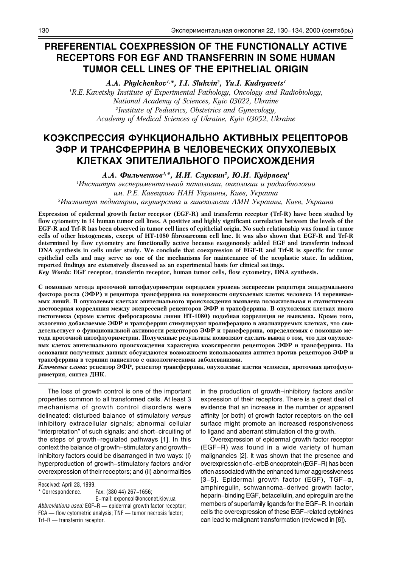# PREFERENTIAL COEXPRESSION OF THE FUNCTIONALLY ACTIVE **RECEPTORS FOR EGF AND TRANSFERRIN IN SOME HUMAN** TUMOR CELL LINES OF THE EPITHELIAL ORIGIN

A.A. Phylchenkov<sup>1,\*</sup>, I.I. Slukvin<sup>2</sup>, Yu.I. Kudryavets<sup>1</sup> <sup>1</sup>R.E. Kavetsky Institute of Experimental Pathology, Oncology and Radiobiology, National Academy of Sciences, Kyiv 03022, Ukraine <sup>2</sup>Institute of Pediatrics, Obstetrics and Gynecology, Academy of Medical Sciences of Ukraine, Kyiv 03052, Ukraine

# КОЭКСПРЕССИЯ ФУНКЦИОНАЛЬНО АКТИВНЫХ РЕЦЕПТОРОВ ЭФР И ТРАНСФЕРРИНА В ЧЕЛОВЕЧЕСКИХ ОПУХОЛЕВЫХ КЛЕТКАХ ЭПИТЕЛИАЛЬНОГО ПРОИСХОЖДЕНИЯ

А.А. Фильченков<sup>1,\*</sup>, И.И. Слуквин<sup>2</sup>, Ю.И. Кудрявец<sup>1</sup>

Чнститут экспериментальной патологии, онкологии и радиобиологии

им. Р.Е. Кавецкого НАН Украины, Киев, Украина

<sup>2</sup>Институт педиатрии, акушерства и гинекологии АМН Украины, Киев, Украина

Expression of epidermal growth factor receptor (EGF-R) and transferrin receptor (Trf-R) have been studied by flow cytometry in 14 human tumor cell lines. A positive and highly significant correlation between the levels of the EGF-R and Trf-R has been observed in tumor cell lines of epithelial origin. No such relationship was found in tumor cells of other histogenesis, except of HT-1080 fibrosarcoma cell line. It was also shown that EGF-R and Trf-R determined by flow cytometry are functionally active because exogenously added EGF and transferrin induced DNA synthesis in cells under study. We conclude that coexpression of EGF-R and Trf-R is specific for tumor epithelial cells and may serve as one of the mechanisms for maintenance of the neoplastic state. In addition, reported findings are extensively discussed as an experimental basis for clinical settings.

Key Words: EGF receptor, transferrin receptor, human tumor cells, flow cytometry, DNA synthesis.

С помощью метода проточной цитофлуориметрии определен уровень экспрессии рецептора эпидермального фактора роста (ЭФР) и рецептора трансферрина на поверхности опухолевых клеток человека 14 перевиваемых линий. В опухолевых клетках эпителиального происхождения выявлена положительная и статистически достоверная корреляция между экспрессией рецепторов ЭФР и трансферрина. В опухолевых клетках иного гистогенеза (кроме клеток фибросаркомы линии НТ-1080) подобная корреляция не выявлена. Кроме того, экзогенно добавляемые ЭФР и трансферрин стимулируют пролиферацию в анализируемых клетках, что свидетельствует о функциональной активности рецепторов ЭФР и трансферрина, определяемых с помощью метода проточной цитофлуориметрии. Полученные результаты позволяют сделать вывод о том, что для опухолевых клеток эпителиального происхождения характерна коэкспрессия рецепторов ЭФР и трансферрина. На основании полученных данных обсуждаются возможности использования антител против рецепторов ЭФР и трансферрина в терапии пациентов с онкологическими заболеваниями.

Ключевые слова: рецептор ЭФР, рецептор трансферрина, опухолевые клетки человека, проточная цитофлуориметрия, синтез ДНК.

The loss of growth control is one of the important properties common to all transformed cells. At least 3 mechanisms of growth control disorders were delineated: disturbed balance of stimulatory versus inhibitory extracellular signals; abnormal cellular "interpretation" of such signals; and short-circuiting of the steps of growth-regulated pathways [1]. In this context the balance of growth-stimulatory and growthinhibitory factors could be disarranged in two ways: (i) hyperproduction of growth-stimulatory factors and/or overexpression of their receptors; and (ii) abnormalities

Received: April 28, 1999. \* Correspondence.

Fax: (380 44) 267-1656: E-mail: exponcol@onconet.kiev.ua

Abbreviations used: EGF-R - epidermal growth factor receptor: FCA - flow cytometric analysis; TNF - tumor necrosis factor; Trf-R - transferrin receptor.

in the production of growth-inhibitory factors and/or expression of their receptors. There is a great deal of evidence that an increase in the number or apparent affinity (or both) of growth factor receptors on the cell surface might promote an increased responsiveness to ligand and aberrant stimulation of the growth.

Overexpression of epidermal growth factor receptor (EGF-R) was found in a wide variety of human malignancies [2]. It was shown that the presence and overexpression of c-erbB oncoprotein (EGF-R) has been often associated with the enhanced tumor aggressiveness [3-5]. Epidermal growth factor (EGF), TGF- $\alpha$ , amphiregulin, schwannoma-derived growth factor, heparin-binding EGF, betacellulin, and epiregulin are the members of superfamily ligands for the EGF-R. In certain cells the overexpression of these EGF-related cytokines can lead to malignant transformation (reviewed in [6]).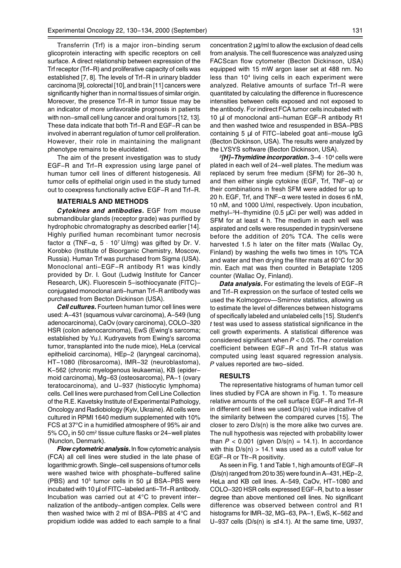Transferrin (Trf) is a major iron-binding serum glicoprotein interacting with specific receptors on cell surface. A direct relationship between expression of the Trf receptor (Trf-R) and proliferative capacity of cells was established [7, 8]. The levels of Trf-R in urinary bladder carcinoma [9], colorectal [10], and brain [11] cancers were significantly higher than in normal tissues of similar origin. Moreover, the presence Trf–R in tumor tissue may be an indicator of more unfavorable prognosis in patients with non-small cell lung cancer and oral tumors [12, 13]. These data indicate that both Trf-R and EGF-R can be involved in aberrant regulation of tumor cell proliferation. However, their role in maintaining the malignant phenotype remains to be elucidated.

The aim of the present investigation was to study EGF-R and Trf-R expression using large panel of human tumor cell lines of different histogenesis. All tumor cells of epithelial origin used in the study turned out to coexpress functionally active EGF-R and Trf-R.

## **MATERIALS AND METHODS**

Cytokines and antibodies. EGF from mouse submandibular glands (receptor grade) was purified by hydrophobic chromatography as described earlier [14]. Highly purified human recombinant tumor necrosis factor  $\alpha$  (TNF- $\alpha$ , 5  $\cdot$  10<sup>7</sup> U/mg) was gifted by Dr. V. Korobko (Institute of Bioorganic Chemistry, Moscow, Russia). Human Trf was purchased from Sigma (USA). Monoclonal anti-EGF-R antibody R1 was kindly provided by Dr. I. Gout (Ludwig Institute for Cancer Research, UK). Fluorescein 5-isothiocyanate (FITC)conjugated monoclonal anti-human Trf-R antibody was purchased from Becton Dickinson (USA).

**Cell cultures.** Fourteen human tumor cell lines were used: A-431 (squamous vulvar carcinoma), A-549 (lung adenocarcinoma), CaOv (ovary carcinoma), COLO-320 HSR (colon adenocarcinoma), EwS (Ewing's sarcoma; established by Yu.l. Kudryavets from Ewing's sarcoma tumor, transplanted into the nude mice), HeLa (cervical epithelioid carcinoma), HEp-2 (laryngeal carcinoma), HT-1080 (fibrosarcoma), IMR-32 (neuroblastoma), K-562 (chronic myelogenous leukaemia), KB (epidermoid carcinoma), Mg-63 (osteosarcoma), PA-1 (ovary teratocarcinoma), and U-937 (histiocytic lymphoma) cells. Cell lines were purchased from Cell Line Collection of the R.E. Kavetsky Institute of Experimental Pathology, Oncology and Radiobiology (Kyiv, Ukraine). All cells were cultured in RPMI 1640 medium supplemented with 10% FCS at 37°C in a humidified atmosphere of 95% air and 5% CO<sub>2</sub> in 50 cm<sup>2</sup> tissue culture flasks or 24-well plates (Nunclon, Denmark).

Flow cytometric analysis. In flow cytometric analysis (FCA) all cell lines were studied in the late phase of logarithmic growth. Single-cell suspensions of tumor cells were washed twice with phosphate-buffered saline (PBS) and 10<sup>5</sup> tumor cells in 50 µl BSA-PBS were incubated with 10 µl of FITC-labeled anti-Trf-R antibody. Incubation was carried out at 4°C to prevent internalization of the antibody-antigen complex. Cells were then washed twice with 2 ml of BSA-PBS at 4°C and propidium iodide was added to each sample to a final concentration 2  $\mu q$ /ml to allow the exclusion of dead cells from analysis. The cell fluorescence was analyzed using FACScan flow cytometer (Becton Dickinson, USA) equipped with 15 mW argon laser set at 488 nm. No less than 10<sup>4</sup> living cells in each experiment were analyzed. Relative amounts of surface Trf-R were quantitated by calculating the difference in fluorescence intensities between cells exposed and not exposed to the antibody. For indirect FCA tumor cells incubated with 10 µl of monoclonal anti-human EGF-R antibody R1 and then washed twice and resuspended in BSA-PBS containing 5 µl of FITC-labeled goat anti-mouse IgG (Becton Dickinson, USA). The results were analyzed by the LYSYS software (Becton Dickinson, USA).

 ${}^{3}[H]$ -Thymidine incorporation. 3-4  $\cdot$  10<sup>4</sup> cells were plated in each well of 24-well plates. The medium was replaced by serum free medium (SFM) for 26-30 h, and then either single cytokine (EGF, Trf, TNF- $\alpha$ ) or their combinations in fresh SFM were added for up to 20 h. EGF, Trf, and TNF $-\alpha$  were tested in doses 6 nM, 10 nM, and 1000 U/ml, respectively. Upon incubation, methyl-3H-thymidine (0.5 µCi per well) was added in SFM for at least 4 h. The medium in each well was aspirated and cells were resuspended in trypsin/versene before the addition of 20% TCA. The cells were harvested 1.5 h later on the filter mats (Wallac Oy, Finland) by washing the wells two times in 10% TCA and water and then drying the filter mats at  $60^{\circ}$ C for 30 min. Each mat was then counted in Betaplate 1205 counter (Wallac Oy, Finland).

**Data analysis.** For estimating the levels of EGF-R and Trf-R expression on the surface of tested cells we used the Kolmogorov-Smirnov statistics, allowing us to estimate the level of differences between histograms of specifically labeled and unlabeled cells [15]. Student's t test was used to assess statistical significance in the cell growth experiments. A statistical difference was considered significant when  $P < 0.05$ . The r correlation coefficient between EGF-R and Trf-R status was computed using least squared regression analysis. P values reported are two-sided.

### **RESULTS**

The representative histograms of human tumor cell lines studied by FCA are shown in Fig. 1. To measure relative amounts of the cell surface EGF-R and Trf-R in different cell lines we used D/s(n) value indicative of the similarity between the compared curves [15]. The closer to zero  $D/s(n)$  is the more alike two curves are. The null hypothesis was rejected with probability lower than  $P < 0.001$  (given  $D/s(n) = 14.1$ ). In accordance with this  $D/s(n) > 14.1$  was used as a cutoff value for EGF-R or Tfr-R positivity.

As seen in Fig. 1 and Table 1, high amounts of EGF-R  $(D/s(n)$  ranged from 20 to 35) were found in A-431. HEp-2. HeLa and KB cell lines. A-549, CaOv, HT-1080 and COLO-320 HSR cells expressed EGF-R, but to a lesser degree than above mentioned cell lines. No significant difference was observed between control and R1 histograms for IMR-32, MG-63, PA-1, EwS, K-562 and U-937 cells  $(D/s(n)$  is  $\leq 14.1$ ). At the same time, U937,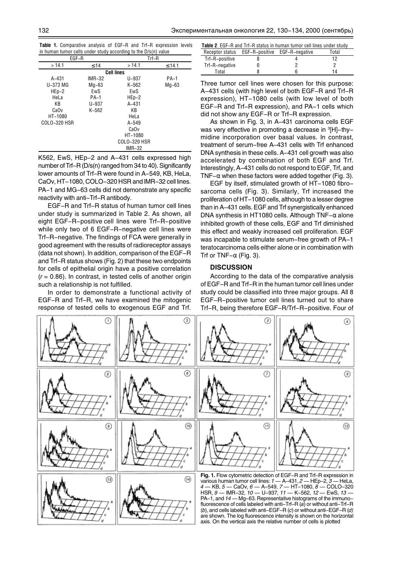Table 1. Comparative analysis of EGF-R and Trf-R expression levels in human tumor cells under study according to the D/s(n) value

| EGF-R             |           | in-R         |         |  |
|-------------------|-----------|--------------|---------|--|
| >14.1             | $\leq 14$ | >14.1        | ≤ 14.1  |  |
| <b>Cell lines</b> |           |              |         |  |
| $A - 431$         | $IMR-32$  | $U - 937$    | $PA-1$  |  |
| U-373 MG          | $Ma-63$   | K-562        | $Mg-63$ |  |
| $HEp-2$           | EwS       | EwS          |         |  |
| HeLa              | $PA-1$    | $HEp-2$      |         |  |
| KB                | $U - 937$ | A-431        |         |  |
| CaOv              | $K-562$   | KB           |         |  |
| HT-1080           |           | HeLa         |         |  |
| COLO-320 HSR      |           | $A - 549$    |         |  |
|                   |           | CaOv         |         |  |
|                   |           | HT-1080      |         |  |
|                   |           | COLO-320 HSR |         |  |
|                   |           | $IMR-32$     |         |  |

K562, EwS, HEp-2 and A-431 cells expressed high number of Trf-R (D/s(n) ranged from 34 to 40). Significantly lower amounts of Trf-R were found in A-549, KB, HeLa, CaOv. HT-1080. COLO-320 HSR and IMR-32 cell lines. PA-1 and MG-63 cells did not demonstrate any specific reactivity with anti-Trf-R antibody.

EGF-R and Trf-R status of human tumor cell lines under study is summarized in Table 2. As shown, all eight EGF-R-positive cell lines were Trf-R-positive while only two of 6 EGF-R-negative cell lines were Trf-R-negative. The findings of FCA were generally in good agreement with the results of radioreceptor assays (data not shown). In addition, comparison of the EGF-R and Trf-R status shows (Fig. 2) that these two endpoints for cells of epithelial origin have a positive correlation  $(r = 0.86)$ . In contrast, in tested cells of another origin such a relationship is not fulfilled.

In order to demonstrate a functional activity of EGF-R and Trf-R, we have examined the mitogenic response of tested cells to exogenous EGF and Trf.

| <b>Table 2.</b> EGF-R and Trf-R status in human tumor cell lines under study |                                               |  |       |  |
|------------------------------------------------------------------------------|-----------------------------------------------|--|-------|--|
|                                                                              | Receptor status EGF-R-positive EGF-R-negative |  | Total |  |
| Trf-R-positive                                                               |                                               |  | 12    |  |
| Trf-R-negative                                                               |                                               |  |       |  |
| Total                                                                        |                                               |  | 14    |  |

Three tumor cell lines were chosen for this purpose: A-431 cells (with high level of both EGF-R and Trf-R expression), HT-1080 cells (with low level of both EGF-R and Trf-R expression), and PA-1 cells which did not show any EGF-R or Trf-R expression.

As shown in Fig. 3, in A-431 carcinoma cells EGF was very effective in promoting a decrease in <sup>3</sup>[H]-thymidine incorporation over basal values. In contrast, treatment of serum-free A-431 cells with Trf enhanced DNA synthesis in these cells, A-431 cell growth was also accelerated by combination of both EGF and Trf. Interestingly, A-431 cells do not respond to EGF, Trf, and TNF- $\alpha$  when these factors were added together (Fig. 3).

EGF by itself, stimulated growth of HT-1080 fibrosarcoma cells (Fig. 3). Similarly, Trf increased the proliferation of HT-1080 cells, although to a lesser degree than in A-431 cells. EGF and Trf synergistically enhanced DNA synthesis in HT1080 cells. Although TNF $-\alpha$  alone inhibited arowth of these cells. EGF and Trf diminished this effect and weakly increased cell proliferation. EGF was incapable to stimulate serum-free growth of PA-1 teratocarcinoma cells either alone or in combination with Trf or TNF $-\alpha$  (Fig. 3).

## **DISCUSSION**

According to the data of the comparative analysis of EGF-R and Trf-R in the human tumor cell lines under study could be classified into three maior groups. All 8 EGF-R-positive tumor cell lines turned out to share Trf-R, being therefore EGF-R/Trf-R-positive. Four of

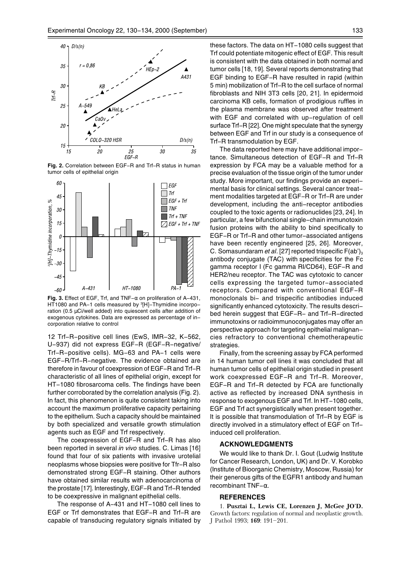

Fig. 2. Correlation between EGF-R and Trf-R status in human tumor cells of epithelial origin



Fig. 3. Effect of EGF, Trf, and TNF- $\alpha$  on proliferation of A-431, HT1080 and PA-1 cells measured by <sup>3</sup>[H]-Thymidine incorporation (0.5 µCi/well added) into quiescent cells after addition of exogenous cytokines. Data are expressed as percentage of incorporation relative to control

12 Trf-R-positive cell lines (EwS, IMR-32, K-562, U-937) did not express EGF-R (EGF-R-negative/ Trf-R-positive cells). MG-63 and PA-1 cells were EGF-R/Trf-R-negative. The evidence obtained are therefore in favour of coexpression of EGF-R and Trf-R characteristic of all lines of epithelial origin, except for HT-1080 fibrosarcoma cells. The findings have been further corroborated by the correlation analysis (Fig. 2). In fact, this phenomenon is quite consistent taking into account the maximum proliferative capacity pertaining to the epithelium. Such a capacity should be maintained by both specialized and versatile growth stimulation agents such as EGF and Trf respectively.

The coexpression of EGF-R and Trf-R has also been reported in several in vivo studies. C. Limas [16] found that four of six patients with invasive urotelial neoplasms whose biopsies were positive for Tfr-R also demonstrated strong EGF-R staining. Other authors have obtained similar results with adenocarcinoma of the prostate [17]. Interestingly, EGF-R and Trf-R tended to be coexpressive in malignant epithelial cells.

The response of A-431 and HT-1080 cell lines to EGF or Trf demonstrates that EGF-R and Trf-R are capable of transducing regulatory signals initiated by these factors. The data on HT-1080 cells suggest that Trf could potentiate mitogenic effect of EGF. This result is consistent with the data obtained in both normal and tumor cells [18, 19]. Several reports demonstrating that EGF binding to EGF-R have resulted in rapid (within 5 min) mobilization of Trf-R to the cell surface of normal fibroblasts and NIH 3T3 cells [20, 21]. In epidermoid carcinoma KB cells, formation of prodigious ruffles in the plasma membrane was observed after treatment with EGF and correlated with up-regulation of cell surface Trf-R [22]. One might speculate that the synergy between EGF and Trf in our study is a consequence of Trf-R transmodulation by EGF.

The data reported here may have additional importance. Simultaneous detection of EGF-R and Trf-R expression by FCA may be a valuable method for a precise evaluation of the tissue origin of the tumor under study. More important, our findings provide an experimental basis for clinical settings. Several cancer treatment modalities targeted at EGF-R or Trf-R are under development, including the anti-receptor antibodies coupled to the toxic agents or radionuclides [23, 24]. In particular, a few bifunctional single-chain immunotoxin fusion proteins with the ability to bind specifically to EGF-R or Trf-R and other tumor-associated antigens have been recently engineered [25, 26]. Moreover, C. Somasundaram et al. [27] reported trispecific  $F(ab)_3$ antibody conjugate (TAC) with specificities for the Fc gamma receptor I (Fc gamma RI/CD64), EGF-R and HER2/neu receptor. The TAC was cytotoxic to cancer cells expressing the targeted tumor-associated receptors. Compared with conventional EGF-R monoclonals bi- and trispecific antibodies induced significantly enhanced cytotoxicity. The results described herein suggest that EGF-R- and Trf-R-directed immunotoxins or radioimmunoconiugates may offer an perspective approach for targeting epithelial malignancies refractory to conventional chemotherapeutic strategies.

Finally, from the screening assay by FCA performed in 14 human tumor cell lines it was concluded that all human tumor cells of epithelial origin studied in present work coexpressed EGF-R and Trf-R. Moreover, EGF-R and Trf-R detected by FCA are functionally active as reflected by increased DNA synthesis in response to exogenous EGF and Trf. In HT-1080 cells, EGF and Trf act synergistically when present together. It is possible that transmodulation of Trf-R by EGF is directly involved in a stimulatory effect of EGF on Trfinduced cell proliferation.

### **ACKNOWLEDGMENTS**

We would like to thank Dr. I. Gout (Ludwig Institute for Cancer Research, London, UK) and Dr. V. Korobko (Institute of Bioorganic Chemistry, Moscow, Russia) for their generous gifts of the EGFR1 antibody and human recombinant TNF- $\alpha$ .

#### **REFERENCES**

1. Pusztai L, Lewis CE, Lorenzen J, McGee JO'D. Growth factors: regulation of normal and neoplastic growth. J Pathol 1993; 169: 191-201.